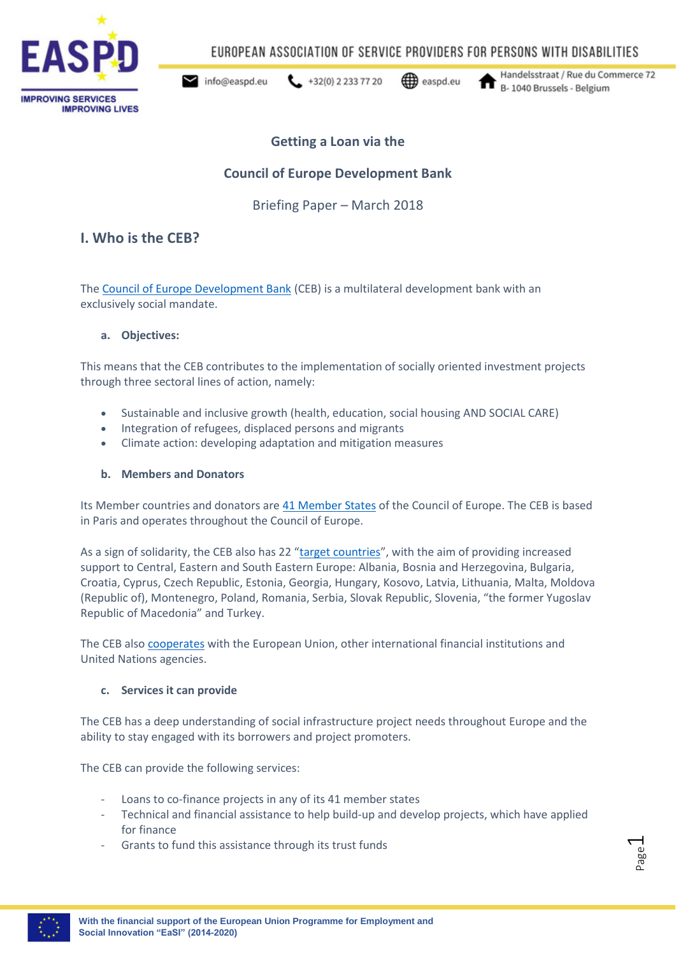

EUROPEAN ASSOCIATION OF SERVICE PROVIDERS FOR PERSONS WITH DISABILITIES

 $432(0) 22337720$ info@easpd.eu

easpd.eu

Handelsstraat / Rue du Commerce 72 B-1040 Brussels - Belgium

## **Getting a Loan via the**

## **Council of Europe Development Bank**

Briefing Paper – March 2018

### **I. Who is the CEB?**

The [Council of Europe Development Bank](https://coebank.org/en/about/) (CEB) is a multilateral development bank with an exclusively social mandate.

#### **a. Objectives:**

This means that the CEB contributes to the implementation of socially oriented investment projects through three sectoral lines of action, namely:

- Sustainable and inclusive growth (health, education, social housing AND SOCIAL CARE)
- Integration of refugees, displaced persons and migrants
- Climate action: developing adaptation and mitigation measures

#### **b. Members and Donators**

Its Member countries and donators are [41 Member States](https://coebank.org/en/about/member-countries/) of the Council of Europe. The CEB is based in Paris and operates throughout the Council of Europe.

As a sign of solidarity, the CEB also has 22 "[target countries](https://coebank.org/en/about/member-countries/)", with the aim of providing increased support to Central, Eastern and South Eastern Europe: Albania, Bosnia and Herzegovina, Bulgaria, Croatia, Cyprus, Czech Republic, Estonia, Georgia, Hungary, Kosovo, Latvia, Lithuania, Malta, Moldova (Republic of), Montenegro, Poland, Romania, Serbia, Slovak Republic, Slovenia, "the former Yugoslav Republic of Macedonia" and Turkey.

The CEB also [cooperates](https://coebank.org/en/about/partnerships/) with the European Union, other international financial institutions and United Nations agencies.

#### **c. Services it can provide**

The CEB has a deep understanding of social infrastructure project needs throughout Europe and the ability to stay engaged with its borrowers and project promoters.

The CEB can provide the following services:

- Loans to co-finance projects in any of its 41 member states
- Technical and financial assistance to help build-up and develop projects, which have applied for finance
- Grants to fund this assistance through its trust funds

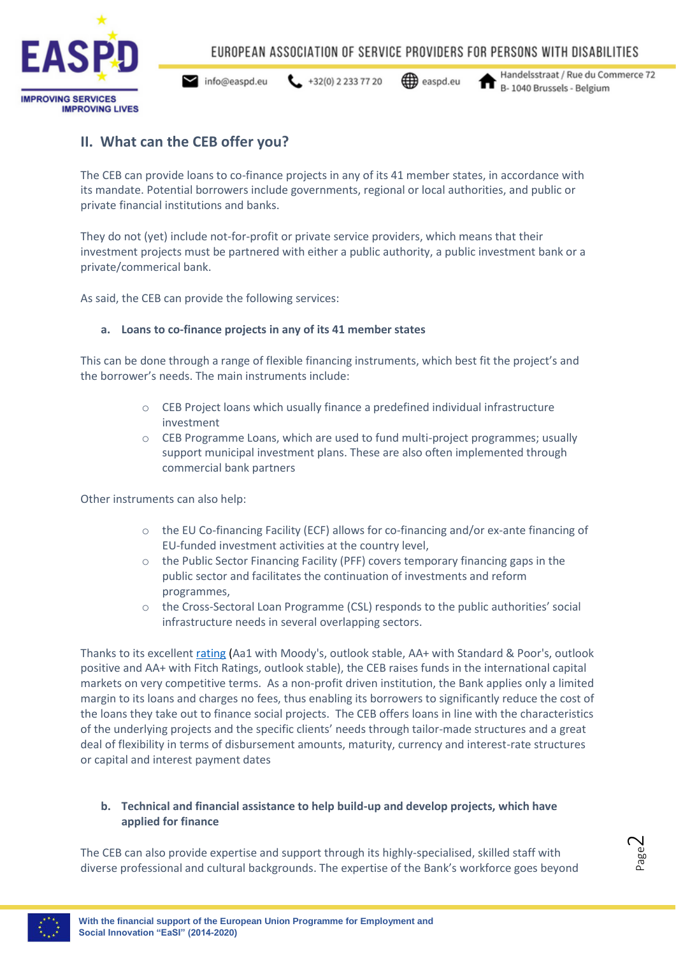

info@easpd.eu  $\leftarrow$  +32(0) 2 233 77 20

easpd.eu

Handelsstraat / Rue du Commerce 72 B-1040 Brussels - Belgium

## **II. What can the CEB offer you?**

The CEB can provide loans to co-finance projects in any of its 41 member states, in accordance with its mandate. Potential borrowers include governments, regional or local authorities, and public or private financial institutions and banks.

They do not (yet) include not-for-profit or private service providers, which means that their investment projects must be partnered with either a public authority, a public investment bank or a private/commerical bank.

As said, the CEB can provide the following services:

#### **a. Loans to co-finance projects in any of its 41 member states**

This can be done through a range of flexible financing instruments, which best fit the project's and the borrower's needs. The main instruments include:

- $\circ$  CEB Project loans which usually finance a predefined individual infrastructure investment
- o CEB Programme Loans, which are used to fund multi-project programmes; usually support municipal investment plans. These are also often implemented through commercial bank partners

Other instruments can also help:

- $\circ$  the EU Co-financing Facility (ECF) allows for co-financing and/or ex-ante financing of EU-funded investment activities at the country level,
- $\circ$  the Public Sector Financing Facility (PFF) covers temporary financing gaps in the public sector and facilitates the continuation of investments and reform programmes,
- $\circ$  the Cross-Sectoral Loan Programme (CSL) responds to the public authorities' social infrastructure needs in several overlapping sectors.

Thanks to its excellent [rating](https://coebank.org/en/investor-relations/credit-rating/) (Aa1 with Moody's, outlook stable, AA+ with Standard & Poor's, outlook positive and AA+ with Fitch Ratings, outlook stable), the CEB raises funds in the international capital markets on very competitive terms. As a non-profit driven institution, the Bank applies only a limited margin to its loans and charges no fees, thus enabling its borrowers to significantly reduce the cost of the loans they take out to finance social projects. The CEB offers loans in line with the characteristics of the underlying projects and the specific clients' needs through tailor-made structures and a great deal of flexibility in terms of disbursement amounts, maturity, currency and interest-rate structures or capital and interest payment dates

#### **b. Technical and financial assistance to help build-up and develop projects, which have applied for finance**

The CEB can also provide expertise and support through its highly-specialised, skilled staff with diverse professional and cultural backgrounds. The expertise of the Bank's workforce goes beyond

Page  $\sim$ 

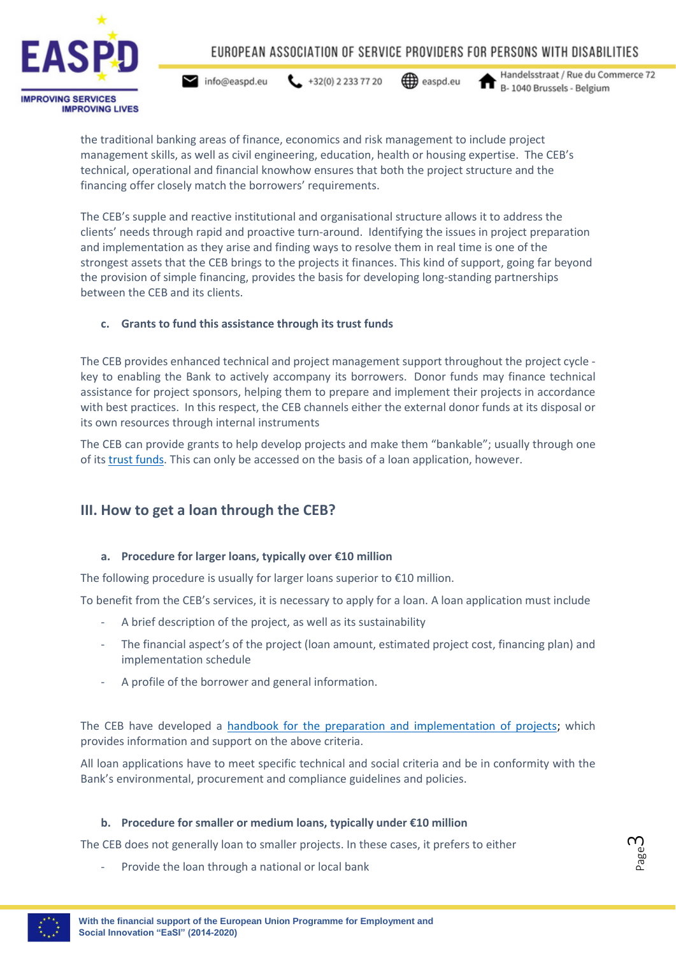

 $432(0) 22337720$ info@easpd.eu

easpd.eu

Handelsstraat / Rue du Commerce 72 B-1040 Brussels - Belgium

the traditional banking areas of finance, economics and risk management to include project management skills, as well as civil engineering, education, health or housing expertise. The CEB's technical, operational and financial knowhow ensures that both the project structure and the financing offer closely match the borrowers' requirements.

The CEB's supple and reactive institutional and organisational structure allows it to address the clients' needs through rapid and proactive turn-around. Identifying the issues in project preparation and implementation as they arise and finding ways to resolve them in real time is one of the strongest assets that the CEB brings to the projects it finances. This kind of support, going far beyond the provision of simple financing, provides the basis for developing long-standing partnerships between the CEB and its clients.

### **c. Grants to fund this assistance through its trust funds**

The CEB provides enhanced technical and project management support throughout the project cycle key to enabling the Bank to actively accompany its borrowers. Donor funds may finance technical assistance for project sponsors, helping them to prepare and implement their projects in accordance with best practices. In this respect, the CEB channels either the external donor funds at its disposal or its own resources through internal instruments

The CEB can provide grants to help develop projects and make them "bankable"; usually through one of its trust [funds.](https://coebank.org/en/project-financing/donors-and-trust-funds/trust-funds/) This can only be accessed on the basis of a loan application, however.

## **III. How to get a loan through the CEB?**

#### **a. Procedure for larger loans, typically over €10 million**

The following procedure is usually for larger loans superior to  $\epsilon$ 10 million.

To benefit from the CEB's services, it is necessary to apply for a loan. A loan application must include

- A brief description of the project, as well as its sustainability
- The financial aspect's of the project (loan amount, estimated project cost, financing plan) and implementation schedule
- A profile of the borrower and general information.

The CEB have developed a [handbook for the preparation and implementation of projects;](https://coebank.org/documents/39/Handbook.pdf) which provides information and support on the above criteria.

All loan applications have to meet specific technical and social criteria and be in conformity with the Bank's environmental, procurement and compliance guidelines and policies.

#### **b. Procedure for smaller or medium loans, typically under €10 million**

The CEB does not generally loan to smaller projects. In these cases, it prefers to either

Provide the loan through a national or local bank



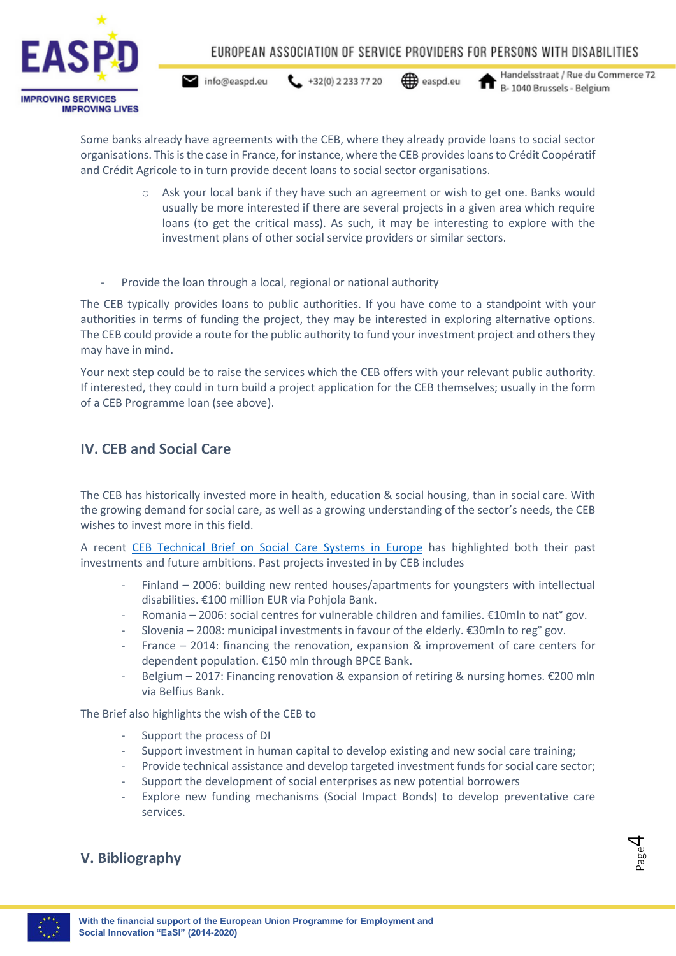

 $\leftarrow$  +32(0) 2 233 77 20  $\blacktriangleright$  info@easpd.eu

easpd.eu

Handelsstraat / Rue du Commerce 72 B-1040 Brussels - Belgium

Some banks already have agreements with the CEB, where they already provide loans to social sector organisations. This is the case in France, for instance, where the CEB provides loans to Crédit Coopératif and Crédit Agricole to in turn provide decent loans to social sector organisations.

- o Ask your local bank if they have such an agreement or wish to get one. Banks would usually be more interested if there are several projects in a given area which require loans (to get the critical mass). As such, it may be interesting to explore with the investment plans of other social service providers or similar sectors.
- Provide the loan through a local, regional or national authority

The CEB typically provides loans to public authorities. If you have come to a standpoint with your authorities in terms of funding the project, they may be interested in exploring alternative options. The CEB could provide a route for the public authority to fund your investment project and others they may have in mind.

Your next step could be to raise the services which the CEB offers with your relevant public authority. If interested, they could in turn build a project application for the CEB themselves; usually in the form of a CEB Programme loan (see above).

## **IV. CEB and Social Care**

The CEB has historically invested more in health, education & social housing, than in social care. With the growing demand for social care, as well as a growing understanding of the sector's needs, the CEB wishes to invest more in this field.

A recent [CEB Technical Brief on Social Care Systems in Europe](https://coebank.org/media/documents/Technical-Brief_2_Social_Care_Systems_in_Europe.pdf) has highlighted both their past investments and future ambitions. Past projects invested in by CEB includes

- Finland 2006: building new rented houses/apartments for youngsters with intellectual disabilities. €100 million EUR via Pohjola Bank.
- Romania 2006: social centres for vulnerable children and families.  $\epsilon$ 10mln to nat° gov.
- Slovenia 2008: municipal investments in favour of the elderly. €30mln to reg° gov.
- France 2014: financing the renovation, expansion & improvement of care centers for dependent population. €150 mln through BPCE Bank.
- Belgium 2017: Financing renovation & expansion of retiring & nursing homes. €200 mln via Belfius Bank.

The Brief also highlights the wish of the CEB to

- Support the process of DI
- Support investment in human capital to develop existing and new social care training;
- Provide technical assistance and develop targeted investment funds for social care sector;
- Support the development of social enterprises as new potential borrowers
- Explore new funding mechanisms (Social Impact Bonds) to develop preventative care services.

# **V. Bibliography**